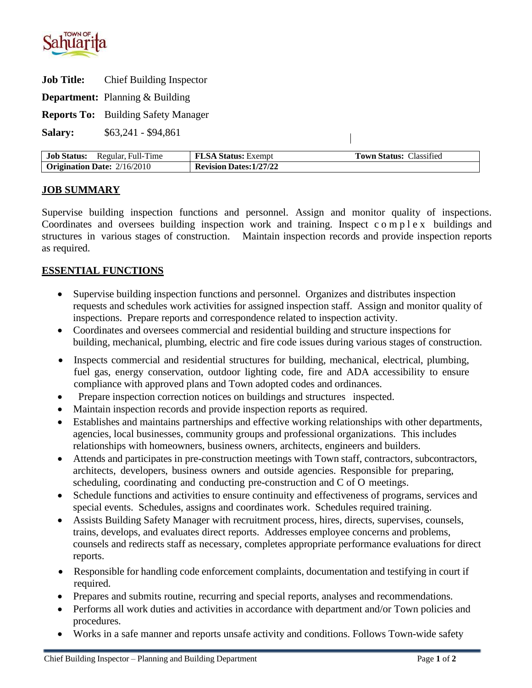

**Job Title:** Chief Building Inspector

**Department:** Planning & Building

**Reports To:** Building Safety Manager

**Salary:** \$63,241 - \$94,861

| <b>Job Status:</b><br>Regular, Full-Time | <b>FLSA Status: Exempt</b>     | l'own Status: I<br><b>Classified</b> |
|------------------------------------------|--------------------------------|--------------------------------------|
| $\sim$ Origination Date: 2/16/2010       | <b>Revision Dates: 1/27/22</b> |                                      |

 $\overline{\phantom{a}}$ 

### **JOB SUMMARY**

Supervise building inspection functions and personnel. Assign and monitor quality of inspections. Coordinates and oversees building inspection work and training. Inspect c o m p l e x buildings and structures in various stages of construction. Maintain inspection records and provide inspection reports as required.

### **ESSENTIAL FUNCTIONS**

- Supervise building inspection functions and personnel. Organizes and distributes inspection requests and schedules work activities for assigned inspection staff. Assign and monitor quality of inspections. Prepare reports and correspondence related to inspection activity.
- Coordinates and oversees commercial and residential building and structure inspections for building, mechanical, plumbing, electric and fire code issues during various stages of construction.
- Inspects commercial and residential structures for building, mechanical, electrical, plumbing, fuel gas, energy conservation, outdoor lighting code, fire and ADA accessibility to ensure compliance with approved plans and Town adopted codes and ordinances.
- Prepare inspection correction notices on buildings and structures inspected.
- Maintain inspection records and provide inspection reports as required.
- Establishes and maintains partnerships and effective working relationships with other departments, agencies, local businesses, community groups and professional organizations. This includes relationships with homeowners, business owners, architects, engineers and builders.
- Attends and participates in pre-construction meetings with Town staff, contractors, subcontractors, architects, developers, business owners and outside agencies. Responsible for preparing, scheduling, coordinating and conducting pre-construction and C of O meetings.
- Schedule functions and activities to ensure continuity and effectiveness of programs, services and special events. Schedules, assigns and coordinates work. Schedules required training.
- Assists Building Safety Manager with recruitment process, hires, directs, supervises, counsels, trains, develops, and evaluates direct reports. Addresses employee concerns and problems, counsels and redirects staff as necessary, completes appropriate performance evaluations for direct reports.
- Responsible for handling code enforcement complaints, documentation and testifying in court if required.
- Prepares and submits routine, recurring and special reports, analyses and recommendations.
- Performs all work duties and activities in accordance with department and/or Town policies and procedures.
- Works in a safe manner and reports unsafe activity and conditions. Follows Town-wide safety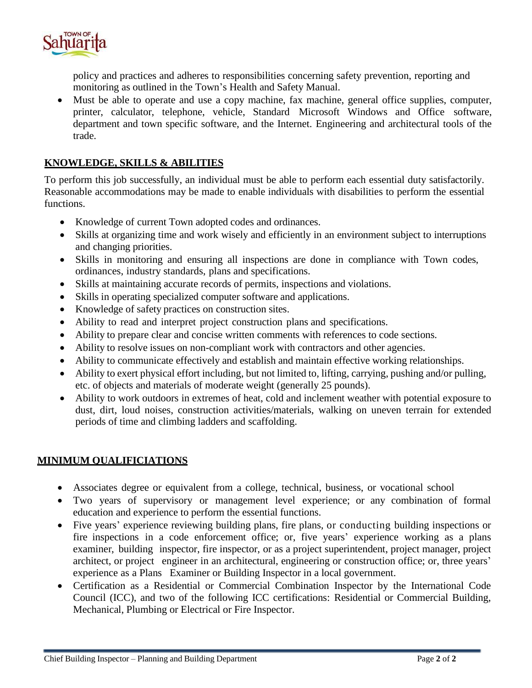

policy and practices and adheres to responsibilities concerning safety prevention, reporting and monitoring as outlined in the Town's Health and Safety Manual.

• Must be able to operate and use a copy machine, fax machine, general office supplies, computer, printer, calculator, telephone, vehicle, Standard Microsoft Windows and Office software, department and town specific software, and the Internet. Engineering and architectural tools of the trade.

# **KNOWLEDGE, SKILLS & ABILITIES**

To perform this job successfully, an individual must be able to perform each essential duty satisfactorily. Reasonable accommodations may be made to enable individuals with disabilities to perform the essential functions.

- Knowledge of current Town adopted codes and ordinances.
- Skills at organizing time and work wisely and efficiently in an environment subject to interruptions and changing priorities.
- Skills in monitoring and ensuring all inspections are done in compliance with Town codes, ordinances, industry standards, plans and specifications.
- Skills at maintaining accurate records of permits, inspections and violations.
- Skills in operating specialized computer software and applications.
- Knowledge of safety practices on construction sites.
- Ability to read and interpret project construction plans and specifications.
- Ability to prepare clear and concise written comments with references to code sections.
- Ability to resolve issues on non-compliant work with contractors and other agencies.
- Ability to communicate effectively and establish and maintain effective working relationships.
- Ability to exert physical effort including, but not limited to, lifting, carrying, pushing and/or pulling, etc. of objects and materials of moderate weight (generally 25 pounds).
- Ability to work outdoors in extremes of heat, cold and inclement weather with potential exposure to dust, dirt, loud noises, construction activities/materials, walking on uneven terrain for extended periods of time and climbing ladders and scaffolding.

### **MINIMUM QUALIFICIATIONS**

- Associates degree or equivalent from a college, technical, business, or vocational school
- Two years of supervisory or management level experience; or any combination of formal education and experience to perform the essential functions.
- Five years' experience reviewing building plans, fire plans, or conducting building inspections or fire inspections in a code enforcement office; or, five years' experience working as a plans examiner, building inspector, fire inspector, or as a project superintendent, project manager, project architect, or project engineer in an architectural, engineering or construction office; or, three years' experience as a Plans Examiner or Building Inspector in a local government.
- Certification as a Residential or Commercial Combination Inspector by the International Code Council (ICC), and two of the following ICC certifications: Residential or Commercial Building, Mechanical, Plumbing or Electrical or Fire Inspector.